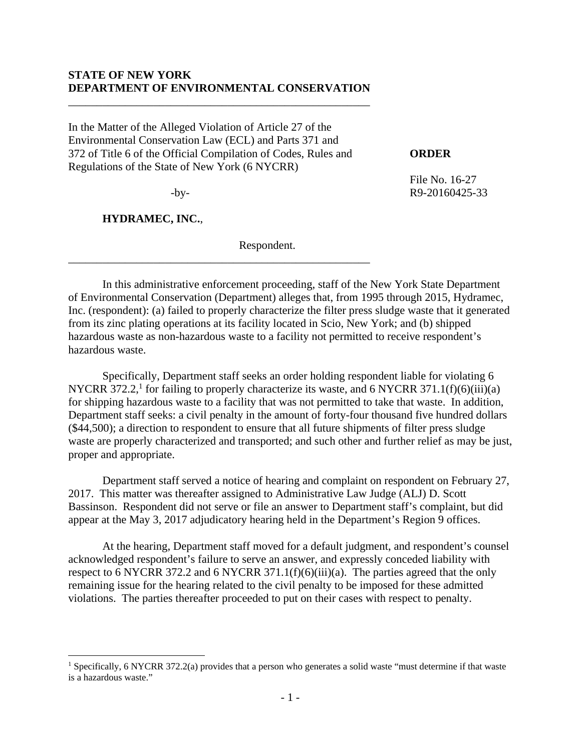#### **STATE OF NEW YORK DEPARTMENT OF ENVIRONMENTAL CONSERVATION**

\_\_\_\_\_\_\_\_\_\_\_\_\_\_\_\_\_\_\_\_\_\_\_\_\_\_\_\_\_\_\_\_\_\_\_\_\_\_\_\_\_\_\_\_\_\_\_\_\_\_\_\_\_

In the Matter of the Alleged Violation of Article 27 of the Environmental Conservation Law (ECL) and Parts 371 and 372 of Title 6 of the Official Compilation of Codes, Rules and **ORDER**  Regulations of the State of New York (6 NYCRR)

\_\_\_\_\_\_\_\_\_\_\_\_\_\_\_\_\_\_\_\_\_\_\_\_\_\_\_\_\_\_\_\_\_\_\_\_\_\_\_\_\_\_\_\_\_\_\_\_\_\_\_\_\_

**HYDRAMEC, INC.**,

 $\overline{a}$ 

Respondent.

 File No. 16-27 -by- R9-20160425-33

In this administrative enforcement proceeding, staff of the New York State Department of Environmental Conservation (Department) alleges that, from 1995 through 2015, Hydramec, Inc. (respondent): (a) failed to properly characterize the filter press sludge waste that it generated from its zinc plating operations at its facility located in Scio, New York; and (b) shipped hazardous waste as non-hazardous waste to a facility not permitted to receive respondent's hazardous waste.

Specifically, Department staff seeks an order holding respondent liable for violating 6 NYCRR 372.2,<sup>1</sup> for failing to properly characterize its waste, and 6 NYCRR 371.1(f)(6)(iii)(a) for shipping hazardous waste to a facility that was not permitted to take that waste. In addition, Department staff seeks: a civil penalty in the amount of forty-four thousand five hundred dollars (\$44,500); a direction to respondent to ensure that all future shipments of filter press sludge waste are properly characterized and transported; and such other and further relief as may be just, proper and appropriate.

Department staff served a notice of hearing and complaint on respondent on February 27, 2017. This matter was thereafter assigned to Administrative Law Judge (ALJ) D. Scott Bassinson. Respondent did not serve or file an answer to Department staff's complaint, but did appear at the May 3, 2017 adjudicatory hearing held in the Department's Region 9 offices.

At the hearing, Department staff moved for a default judgment, and respondent's counsel acknowledged respondent's failure to serve an answer, and expressly conceded liability with respect to 6 NYCRR 372.2 and 6 NYCRR 371.1(f)(6)(iii)(a). The parties agreed that the only remaining issue for the hearing related to the civil penalty to be imposed for these admitted violations. The parties thereafter proceeded to put on their cases with respect to penalty.

<sup>&</sup>lt;sup>1</sup> Specifically, 6 NYCRR 372.2(a) provides that a person who generates a solid waste "must determine if that waste is a hazardous waste."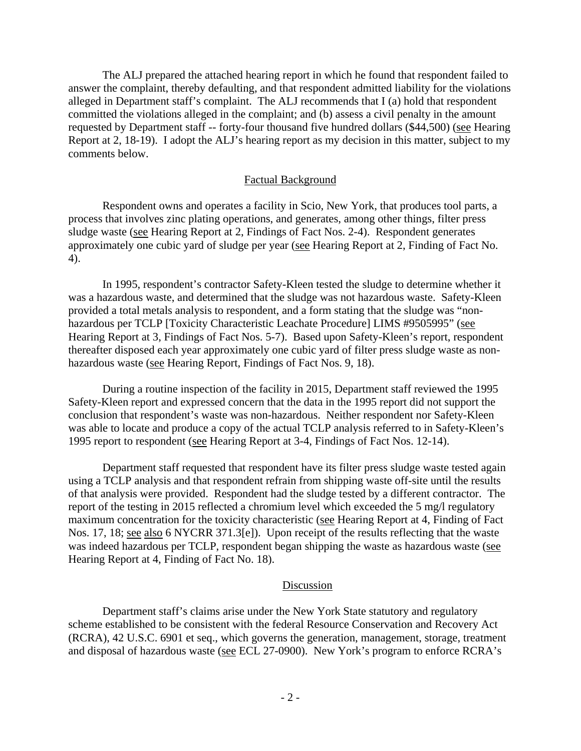The ALJ prepared the attached hearing report in which he found that respondent failed to answer the complaint, thereby defaulting, and that respondent admitted liability for the violations alleged in Department staff's complaint. The ALJ recommends that I (a) hold that respondent committed the violations alleged in the complaint; and (b) assess a civil penalty in the amount requested by Department staff -- forty-four thousand five hundred dollars (\$44,500) (see Hearing Report at 2, 18-19). I adopt the ALJ's hearing report as my decision in this matter, subject to my comments below.

#### Factual Background

Respondent owns and operates a facility in Scio, New York, that produces tool parts, a process that involves zinc plating operations, and generates, among other things, filter press sludge waste (see Hearing Report at 2, Findings of Fact Nos. 2-4). Respondent generates approximately one cubic yard of sludge per year (see Hearing Report at 2, Finding of Fact No. 4).

In 1995, respondent's contractor Safety-Kleen tested the sludge to determine whether it was a hazardous waste, and determined that the sludge was not hazardous waste. Safety-Kleen provided a total metals analysis to respondent, and a form stating that the sludge was "nonhazardous per TCLP [Toxicity Characteristic Leachate Procedure] LIMS #9505995" (see Hearing Report at 3, Findings of Fact Nos. 5-7). Based upon Safety-Kleen's report, respondent thereafter disposed each year approximately one cubic yard of filter press sludge waste as nonhazardous waste (see Hearing Report, Findings of Fact Nos. 9, 18).

During a routine inspection of the facility in 2015, Department staff reviewed the 1995 Safety-Kleen report and expressed concern that the data in the 1995 report did not support the conclusion that respondent's waste was non-hazardous. Neither respondent nor Safety-Kleen was able to locate and produce a copy of the actual TCLP analysis referred to in Safety-Kleen's 1995 report to respondent (see Hearing Report at 3-4, Findings of Fact Nos. 12-14).

Department staff requested that respondent have its filter press sludge waste tested again using a TCLP analysis and that respondent refrain from shipping waste off-site until the results of that analysis were provided. Respondent had the sludge tested by a different contractor. The report of the testing in 2015 reflected a chromium level which exceeded the 5 mg/l regulatory maximum concentration for the toxicity characteristic (see Hearing Report at 4, Finding of Fact Nos. 17, 18; see also 6 NYCRR 371.3[e]). Upon receipt of the results reflecting that the waste was indeed hazardous per TCLP, respondent began shipping the waste as hazardous waste (see Hearing Report at 4, Finding of Fact No. 18).

#### Discussion

Department staff's claims arise under the New York State statutory and regulatory scheme established to be consistent with the federal Resource Conservation and Recovery Act (RCRA), 42 U.S.C. 6901 et seq., which governs the generation, management, storage, treatment and disposal of hazardous waste (see ECL 27-0900). New York's program to enforce RCRA's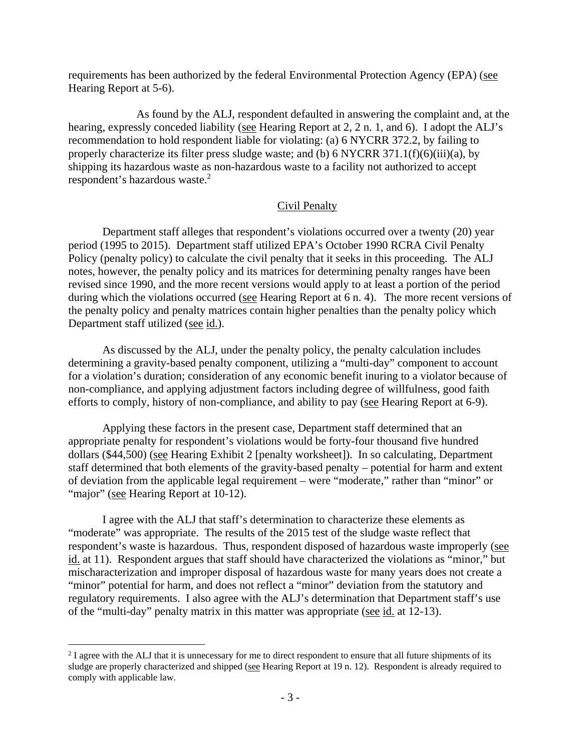requirements has been authorized by the federal Environmental Protection Agency (EPA) (see Hearing Report at 5-6).

 As found by the ALJ, respondent defaulted in answering the complaint and, at the hearing, expressly conceded liability (see Hearing Report at 2, 2 n. 1, and 6). I adopt the ALJ's recommendation to hold respondent liable for violating: (a) 6 NYCRR 372.2, by failing to properly characterize its filter press sludge waste; and (b) 6 NYCRR  $371.1(f)(6)(iii)(a)$ , by shipping its hazardous waste as non-hazardous waste to a facility not authorized to accept respondent's hazardous waste.<sup>2</sup>

#### Civil Penalty

Department staff alleges that respondent's violations occurred over a twenty (20) year period (1995 to 2015). Department staff utilized EPA's October 1990 RCRA Civil Penalty Policy (penalty policy) to calculate the civil penalty that it seeks in this proceeding. The ALJ notes, however, the penalty policy and its matrices for determining penalty ranges have been revised since 1990, and the more recent versions would apply to at least a portion of the period during which the violations occurred (see Hearing Report at 6 n. 4). The more recent versions of the penalty policy and penalty matrices contain higher penalties than the penalty policy which Department staff utilized (see id.).

As discussed by the ALJ, under the penalty policy, the penalty calculation includes determining a gravity-based penalty component, utilizing a "multi-day" component to account for a violation's duration; consideration of any economic benefit inuring to a violator because of non-compliance, and applying adjustment factors including degree of willfulness, good faith efforts to comply, history of non-compliance, and ability to pay (see Hearing Report at 6-9).

Applying these factors in the present case, Department staff determined that an appropriate penalty for respondent's violations would be forty-four thousand five hundred dollars (\$44,500) (see Hearing Exhibit 2 [penalty worksheet]). In so calculating, Department staff determined that both elements of the gravity-based penalty – potential for harm and extent of deviation from the applicable legal requirement – were "moderate," rather than "minor" or "major" (see Hearing Report at 10-12).

I agree with the ALJ that staff's determination to characterize these elements as "moderate" was appropriate. The results of the 2015 test of the sludge waste reflect that respondent's waste is hazardous. Thus, respondent disposed of hazardous waste improperly (see id. at 11). Respondent argues that staff should have characterized the violations as "minor," but mischaracterization and improper disposal of hazardous waste for many years does not create a "minor" potential for harm, and does not reflect a "minor" deviation from the statutory and regulatory requirements. I also agree with the ALJ's determination that Department staff's use of the "multi-day" penalty matrix in this matter was appropriate (see id. at 12-13).

<sup>&</sup>lt;sup>2</sup> I agree with the ALJ that it is unnecessary for me to direct respondent to ensure that all future shipments of its sludge are properly characterized and shipped (see Hearing Report at 19 n. 12). Respondent is already required to comply with applicable law.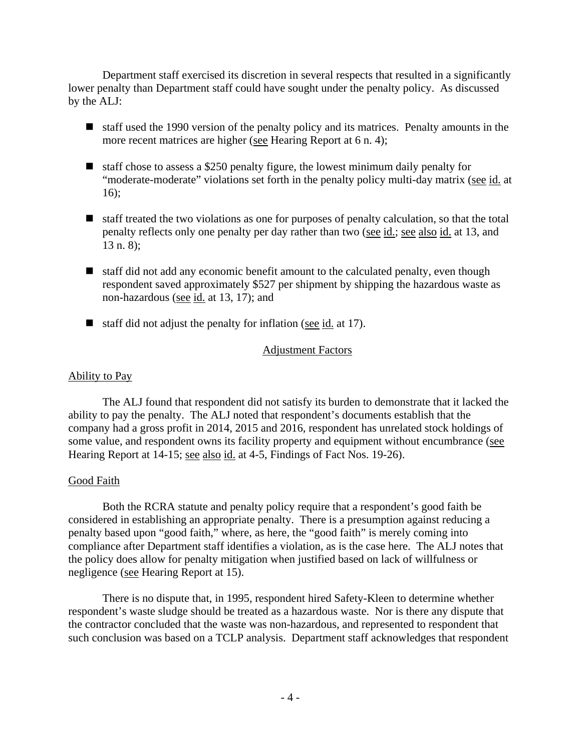Department staff exercised its discretion in several respects that resulted in a significantly lower penalty than Department staff could have sought under the penalty policy. As discussed by the ALJ:

- staff used the 1990 version of the penalty policy and its matrices. Penalty amounts in the more recent matrices are higher (see Hearing Report at 6 n. 4);
- $\blacksquare$  staff chose to assess a \$250 penalty figure, the lowest minimum daily penalty for "moderate-moderate" violations set forth in the penalty policy multi-day matrix (see id. at 16);
- staff treated the two violations as one for purposes of penalty calculation, so that the total penalty reflects only one penalty per day rather than two (see id.; see also id. at 13, and 13 n. 8);
- $\blacksquare$  staff did not add any economic benefit amount to the calculated penalty, even though respondent saved approximately \$527 per shipment by shipping the hazardous waste as non-hazardous (see id. at 13, 17); and
- $\blacksquare$  staff did not adjust the penalty for inflation (see id. at 17).

## Adjustment Factors

#### Ability to Pay

The ALJ found that respondent did not satisfy its burden to demonstrate that it lacked the ability to pay the penalty. The ALJ noted that respondent's documents establish that the company had a gross profit in 2014, 2015 and 2016, respondent has unrelated stock holdings of some value, and respondent owns its facility property and equipment without encumbrance (see Hearing Report at 14-15; see also id. at 4-5, Findings of Fact Nos. 19-26).

#### Good Faith

Both the RCRA statute and penalty policy require that a respondent's good faith be considered in establishing an appropriate penalty. There is a presumption against reducing a penalty based upon "good faith," where, as here, the "good faith" is merely coming into compliance after Department staff identifies a violation, as is the case here. The ALJ notes that the policy does allow for penalty mitigation when justified based on lack of willfulness or negligence (see Hearing Report at 15).

There is no dispute that, in 1995, respondent hired Safety-Kleen to determine whether respondent's waste sludge should be treated as a hazardous waste. Nor is there any dispute that the contractor concluded that the waste was non-hazardous, and represented to respondent that such conclusion was based on a TCLP analysis. Department staff acknowledges that respondent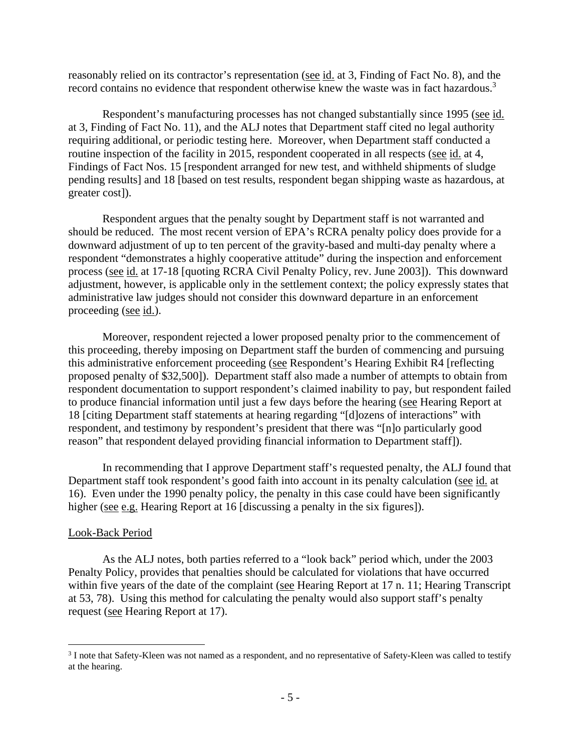reasonably relied on its contractor's representation (see id. at 3, Finding of Fact No. 8), and the record contains no evidence that respondent otherwise knew the waste was in fact hazardous.<sup>3</sup>

Respondent's manufacturing processes has not changed substantially since 1995 (see id. at 3, Finding of Fact No. 11), and the ALJ notes that Department staff cited no legal authority requiring additional, or periodic testing here. Moreover, when Department staff conducted a routine inspection of the facility in 2015, respondent cooperated in all respects (see id. at 4, Findings of Fact Nos. 15 [respondent arranged for new test, and withheld shipments of sludge pending results] and 18 [based on test results, respondent began shipping waste as hazardous, at greater cost]).

Respondent argues that the penalty sought by Department staff is not warranted and should be reduced. The most recent version of EPA's RCRA penalty policy does provide for a downward adjustment of up to ten percent of the gravity-based and multi-day penalty where a respondent "demonstrates a highly cooperative attitude" during the inspection and enforcement process (see id. at 17-18 [quoting RCRA Civil Penalty Policy, rev. June 2003]). This downward adjustment, however, is applicable only in the settlement context; the policy expressly states that administrative law judges should not consider this downward departure in an enforcement proceeding (see id.).

Moreover, respondent rejected a lower proposed penalty prior to the commencement of this proceeding, thereby imposing on Department staff the burden of commencing and pursuing this administrative enforcement proceeding (see Respondent's Hearing Exhibit R4 [reflecting proposed penalty of \$32,500]). Department staff also made a number of attempts to obtain from respondent documentation to support respondent's claimed inability to pay, but respondent failed to produce financial information until just a few days before the hearing (see Hearing Report at 18 [citing Department staff statements at hearing regarding "[d]ozens of interactions" with respondent, and testimony by respondent's president that there was "[n]o particularly good reason" that respondent delayed providing financial information to Department staff]).

In recommending that I approve Department staff's requested penalty, the ALJ found that Department staff took respondent's good faith into account in its penalty calculation (see id. at 16). Even under the 1990 penalty policy, the penalty in this case could have been significantly higher (see e.g. Hearing Report at 16 [discussing a penalty in the six figures]).

#### Look-Back Period

 $\overline{a}$ 

As the ALJ notes, both parties referred to a "look back" period which, under the 2003 Penalty Policy, provides that penalties should be calculated for violations that have occurred within five years of the date of the complaint (see Hearing Report at 17 n. 11; Hearing Transcript at 53, 78). Using this method for calculating the penalty would also support staff's penalty request (see Hearing Report at 17).

<sup>&</sup>lt;sup>3</sup> I note that Safety-Kleen was not named as a respondent, and no representative of Safety-Kleen was called to testify at the hearing.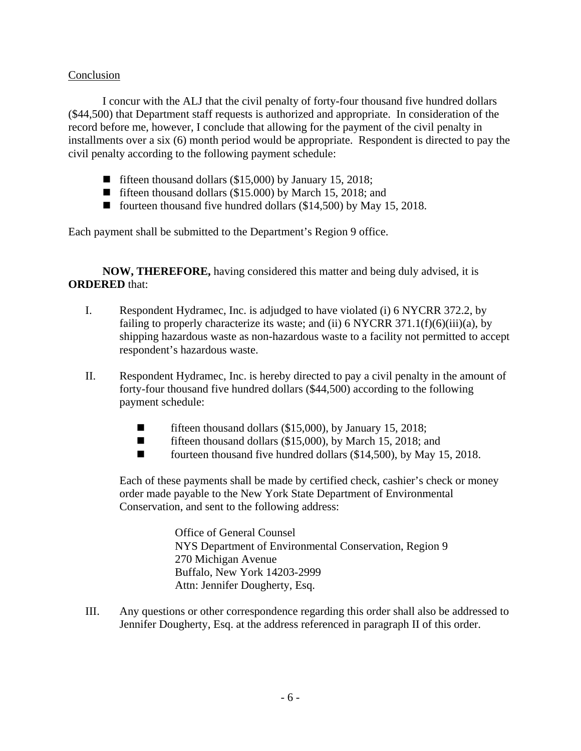# Conclusion

I concur with the ALJ that the civil penalty of forty-four thousand five hundred dollars (\$44,500) that Department staff requests is authorized and appropriate. In consideration of the record before me, however, I conclude that allowing for the payment of the civil penalty in installments over a six (6) month period would be appropriate. Respondent is directed to pay the civil penalty according to the following payment schedule:

- **fifteen thousand dollars (\$15,000) by January 15, 2018;**
- fifteen thousand dollars (\$15.000) by March 15, 2018; and
- fourteen thousand five hundred dollars (\$14,500) by May 15, 2018.

Each payment shall be submitted to the Department's Region 9 office.

**NOW, THEREFORE,** having considered this matter and being duly advised, it is **ORDERED** that:

- I. Respondent Hydramec, Inc. is adjudged to have violated (i) 6 NYCRR 372.2, by failing to properly characterize its waste; and (ii) 6 NYCRR  $371.1(f)(6)(iii)(a)$ , by shipping hazardous waste as non-hazardous waste to a facility not permitted to accept respondent's hazardous waste.
- II. Respondent Hydramec, Inc. is hereby directed to pay a civil penalty in the amount of forty-four thousand five hundred dollars (\$44,500) according to the following payment schedule:
	- **fifteen thousand dollars (\$15,000), by January 15, 2018;**
	- **fifteen thousand dollars (\$15,000), by March 15, 2018; and**
	- fourteen thousand five hundred dollars (\$14,500), by May 15, 2018.

Each of these payments shall be made by certified check, cashier's check or money order made payable to the New York State Department of Environmental Conservation, and sent to the following address:

> Office of General Counsel NYS Department of Environmental Conservation, Region 9 270 Michigan Avenue Buffalo, New York 14203-2999 Attn: Jennifer Dougherty, Esq.

III. Any questions or other correspondence regarding this order shall also be addressed to Jennifer Dougherty, Esq. at the address referenced in paragraph II of this order.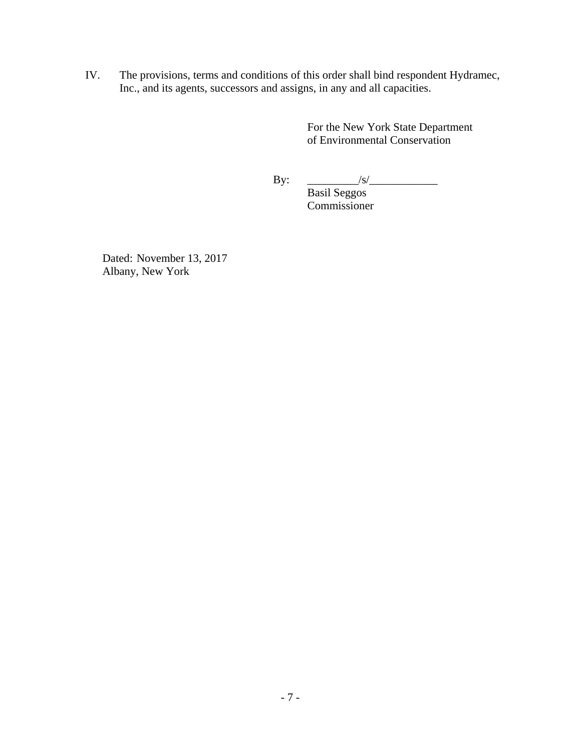IV. The provisions, terms and conditions of this order shall bind respondent Hydramec, Inc., and its agents, successors and assigns, in any and all capacities.

> For the New York State Department of Environmental Conservation

By: \_\_\_\_\_\_\_\_\_/s/\_\_\_\_\_\_\_\_\_\_\_\_

 Basil Seggos Commissioner

Dated: November 13, 2017 Albany, New York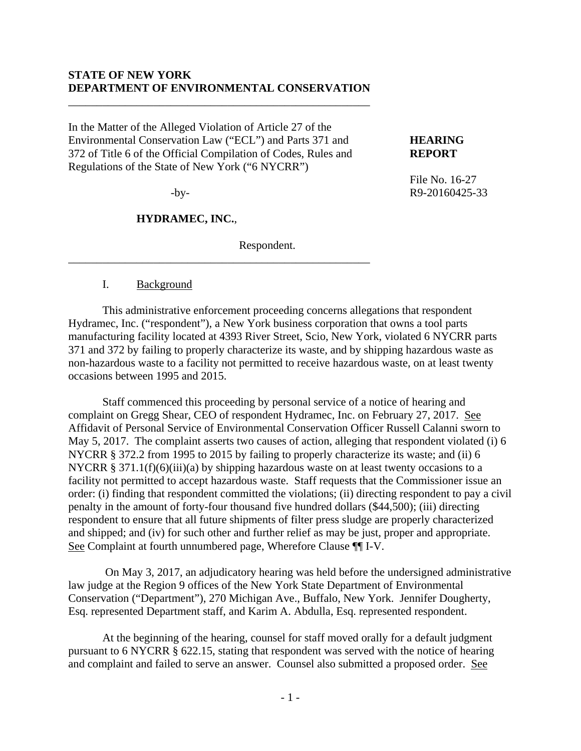#### **STATE OF NEW YORK DEPARTMENT OF ENVIRONMENTAL CONSERVATION**

\_\_\_\_\_\_\_\_\_\_\_\_\_\_\_\_\_\_\_\_\_\_\_\_\_\_\_\_\_\_\_\_\_\_\_\_\_\_\_\_\_\_\_\_\_\_\_\_\_\_\_\_\_

In the Matter of the Alleged Violation of Article 27 of the Environmental Conservation Law ("ECL") and Parts 371 and **HEARING**  372 of Title 6 of the Official Compilation of Codes, Rules and **REPORT**  Regulations of the State of New York ("6 NYCRR")

\_\_\_\_\_\_\_\_\_\_\_\_\_\_\_\_\_\_\_\_\_\_\_\_\_\_\_\_\_\_\_\_\_\_\_\_\_\_\_\_\_\_\_\_\_\_\_\_\_\_\_\_\_

#### **HYDRAMEC, INC.**,

Respondent.

#### I. Background

This administrative enforcement proceeding concerns allegations that respondent Hydramec, Inc. ("respondent"), a New York business corporation that owns a tool parts manufacturing facility located at 4393 River Street, Scio, New York, violated 6 NYCRR parts 371 and 372 by failing to properly characterize its waste, and by shipping hazardous waste as non-hazardous waste to a facility not permitted to receive hazardous waste, on at least twenty occasions between 1995 and 2015.

Staff commenced this proceeding by personal service of a notice of hearing and complaint on Gregg Shear, CEO of respondent Hydramec, Inc. on February 27, 2017. See Affidavit of Personal Service of Environmental Conservation Officer Russell Calanni sworn to May 5, 2017. The complaint asserts two causes of action, alleging that respondent violated (i) 6 NYCRR § 372.2 from 1995 to 2015 by failing to properly characterize its waste; and (ii) 6 NYCRR § 371.1(f)(6)(iii)(a) by shipping hazardous waste on at least twenty occasions to a facility not permitted to accept hazardous waste. Staff requests that the Commissioner issue an order: (i) finding that respondent committed the violations; (ii) directing respondent to pay a civil penalty in the amount of forty-four thousand five hundred dollars (\$44,500); (iii) directing respondent to ensure that all future shipments of filter press sludge are properly characterized and shipped; and (iv) for such other and further relief as may be just, proper and appropriate. See Complaint at fourth unnumbered page, Wherefore Clause ¶¶ I-V.

 On May 3, 2017, an adjudicatory hearing was held before the undersigned administrative law judge at the Region 9 offices of the New York State Department of Environmental Conservation ("Department"), 270 Michigan Ave., Buffalo, New York. Jennifer Dougherty, Esq. represented Department staff, and Karim A. Abdulla, Esq. represented respondent.

At the beginning of the hearing, counsel for staff moved orally for a default judgment pursuant to 6 NYCRR § 622.15, stating that respondent was served with the notice of hearing and complaint and failed to serve an answer. Counsel also submitted a proposed order. See

 File No. 16-27 -by-<br>R9-20160425-33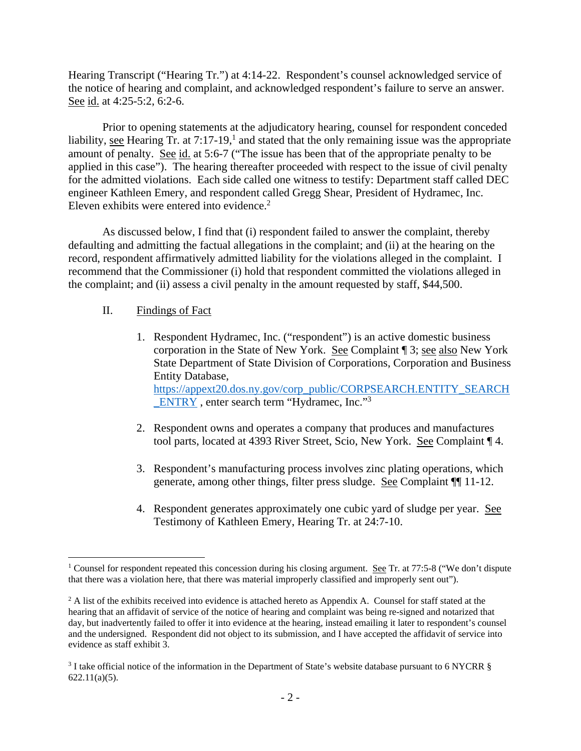Hearing Transcript ("Hearing Tr.") at 4:14-22. Respondent's counsel acknowledged service of the notice of hearing and complaint, and acknowledged respondent's failure to serve an answer. See id. at 4:25-5:2, 6:2-6.

Prior to opening statements at the adjudicatory hearing, counsel for respondent conceded liability, see Hearing Tr. at  $7:17-19$ ,<sup>1</sup> and stated that the only remaining issue was the appropriate amount of penalty. See id. at 5:6-7 ("The issue has been that of the appropriate penalty to be applied in this case"). The hearing thereafter proceeded with respect to the issue of civil penalty for the admitted violations. Each side called one witness to testify: Department staff called DEC engineer Kathleen Emery, and respondent called Gregg Shear, President of Hydramec, Inc. Eleven exhibits were entered into evidence. $2$ 

As discussed below, I find that (i) respondent failed to answer the complaint, thereby defaulting and admitting the factual allegations in the complaint; and (ii) at the hearing on the record, respondent affirmatively admitted liability for the violations alleged in the complaint. I recommend that the Commissioner (i) hold that respondent committed the violations alleged in the complaint; and (ii) assess a civil penalty in the amount requested by staff, \$44,500.

# II. Findings of Fact

- 1. Respondent Hydramec, Inc. ("respondent") is an active domestic business corporation in the State of New York. See Complaint ¶ 3; see also New York State Department of State Division of Corporations, Corporation and Business Entity Database, https://appext20.dos.ny.gov/corp\_public/CORPSEARCH.ENTITY\_SEARCH \_ENTRY , enter search term "Hydramec, Inc."3
- 2. Respondent owns and operates a company that produces and manufactures tool parts, located at 4393 River Street, Scio, New York. See Complaint ¶ 4.
- 3. Respondent's manufacturing process involves zinc plating operations, which generate, among other things, filter press sludge. See Complaint ¶¶ 11-12.
- 4. Respondent generates approximately one cubic yard of sludge per year. See Testimony of Kathleen Emery, Hearing Tr. at 24:7-10.

<sup>&</sup>lt;sup>1</sup> Counsel for respondent repeated this concession during his closing argument. See Tr. at 77:5-8 ("We don't dispute that there was a violation here, that there was material improperly classified and improperly sent out").

 $2$  A list of the exhibits received into evidence is attached hereto as Appendix A. Counsel for staff stated at the hearing that an affidavit of service of the notice of hearing and complaint was being re-signed and notarized that day, but inadvertently failed to offer it into evidence at the hearing, instead emailing it later to respondent's counsel and the undersigned. Respondent did not object to its submission, and I have accepted the affidavit of service into evidence as staff exhibit 3.

<sup>&</sup>lt;sup>3</sup> I take official notice of the information in the Department of State's website database pursuant to 6 NYCRR § 622.11(a)(5).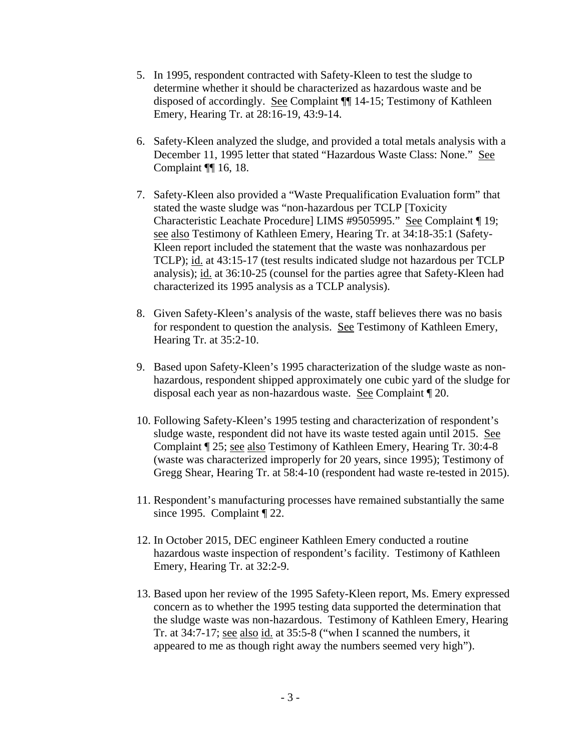- 5. In 1995, respondent contracted with Safety-Kleen to test the sludge to determine whether it should be characterized as hazardous waste and be disposed of accordingly. See Complaint ¶¶ 14-15; Testimony of Kathleen Emery, Hearing Tr. at 28:16-19, 43:9-14.
- 6. Safety-Kleen analyzed the sludge, and provided a total metals analysis with a December 11, 1995 letter that stated "Hazardous Waste Class: None." See Complaint ¶¶ 16, 18.
- 7. Safety-Kleen also provided a "Waste Prequalification Evaluation form" that stated the waste sludge was "non-hazardous per TCLP [Toxicity Characteristic Leachate Procedure] LIMS #9505995." See Complaint ¶ 19; see also Testimony of Kathleen Emery, Hearing Tr. at 34:18-35:1 (Safety-Kleen report included the statement that the waste was nonhazardous per TCLP); id. at 43:15-17 (test results indicated sludge not hazardous per TCLP analysis); id. at 36:10-25 (counsel for the parties agree that Safety-Kleen had characterized its 1995 analysis as a TCLP analysis).
- 8. Given Safety-Kleen's analysis of the waste, staff believes there was no basis for respondent to question the analysis. See Testimony of Kathleen Emery, Hearing Tr. at 35:2-10.
- 9. Based upon Safety-Kleen's 1995 characterization of the sludge waste as nonhazardous, respondent shipped approximately one cubic yard of the sludge for disposal each year as non-hazardous waste. See Complaint ¶ 20.
- 10. Following Safety-Kleen's 1995 testing and characterization of respondent's sludge waste, respondent did not have its waste tested again until 2015. See Complaint ¶ 25; see also Testimony of Kathleen Emery, Hearing Tr. 30:4-8 (waste was characterized improperly for 20 years, since 1995); Testimony of Gregg Shear, Hearing Tr. at 58:4-10 (respondent had waste re-tested in 2015).
- 11. Respondent's manufacturing processes have remained substantially the same since 1995. Complaint ¶ 22.
- 12. In October 2015, DEC engineer Kathleen Emery conducted a routine hazardous waste inspection of respondent's facility. Testimony of Kathleen Emery, Hearing Tr. at 32:2-9.
- 13. Based upon her review of the 1995 Safety-Kleen report, Ms. Emery expressed concern as to whether the 1995 testing data supported the determination that the sludge waste was non-hazardous. Testimony of Kathleen Emery, Hearing Tr. at 34:7-17; see also id. at 35:5-8 ("when I scanned the numbers, it appeared to me as though right away the numbers seemed very high").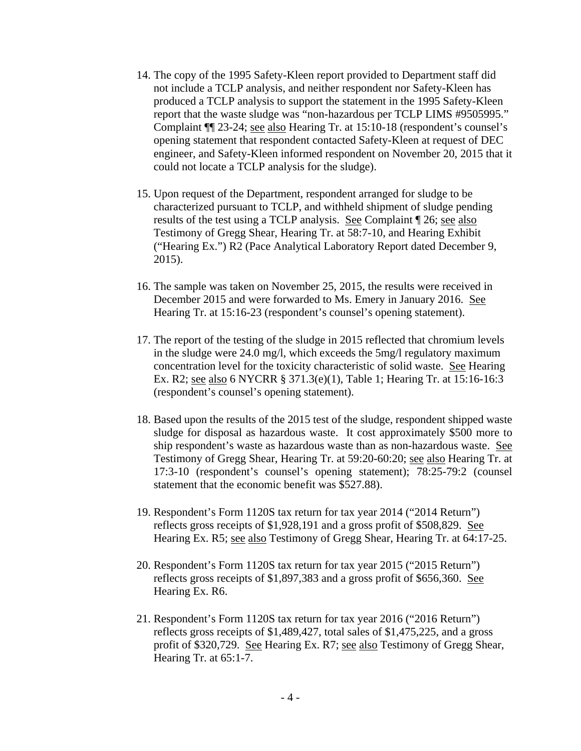- 14. The copy of the 1995 Safety-Kleen report provided to Department staff did not include a TCLP analysis, and neither respondent nor Safety-Kleen has produced a TCLP analysis to support the statement in the 1995 Safety-Kleen report that the waste sludge was "non-hazardous per TCLP LIMS #9505995." Complaint ¶¶ 23-24; see also Hearing Tr. at 15:10-18 (respondent's counsel's opening statement that respondent contacted Safety-Kleen at request of DEC engineer, and Safety-Kleen informed respondent on November 20, 2015 that it could not locate a TCLP analysis for the sludge).
- 15. Upon request of the Department, respondent arranged for sludge to be characterized pursuant to TCLP, and withheld shipment of sludge pending results of the test using a TCLP analysis. See Complaint ¶ 26; see also Testimony of Gregg Shear, Hearing Tr. at 58:7-10, and Hearing Exhibit ("Hearing Ex.") R2 (Pace Analytical Laboratory Report dated December 9, 2015).
- 16. The sample was taken on November 25, 2015, the results were received in December 2015 and were forwarded to Ms. Emery in January 2016. See Hearing Tr. at 15:16-23 (respondent's counsel's opening statement).
- 17. The report of the testing of the sludge in 2015 reflected that chromium levels in the sludge were 24.0 mg/l, which exceeds the 5mg/l regulatory maximum concentration level for the toxicity characteristic of solid waste. See Hearing Ex. R2; see also 6 NYCRR § 371.3(e)(1), Table 1; Hearing Tr. at 15:16-16:3 (respondent's counsel's opening statement).
- 18. Based upon the results of the 2015 test of the sludge, respondent shipped waste sludge for disposal as hazardous waste. It cost approximately \$500 more to ship respondent's waste as hazardous waste than as non-hazardous waste. See Testimony of Gregg Shear, Hearing Tr. at 59:20-60:20; see also Hearing Tr. at 17:3-10 (respondent's counsel's opening statement); 78:25-79:2 (counsel statement that the economic benefit was \$527.88).
- 19. Respondent's Form 1120S tax return for tax year 2014 ("2014 Return") reflects gross receipts of \$1,928,191 and a gross profit of \$508,829. See Hearing Ex. R5; see also Testimony of Gregg Shear, Hearing Tr. at 64:17-25.
- 20. Respondent's Form 1120S tax return for tax year 2015 ("2015 Return") reflects gross receipts of \$1,897,383 and a gross profit of \$656,360. See Hearing Ex. R6.
- 21. Respondent's Form 1120S tax return for tax year 2016 ("2016 Return") reflects gross receipts of \$1,489,427, total sales of \$1,475,225, and a gross profit of \$320,729. See Hearing Ex. R7; see also Testimony of Gregg Shear, Hearing Tr. at 65:1-7.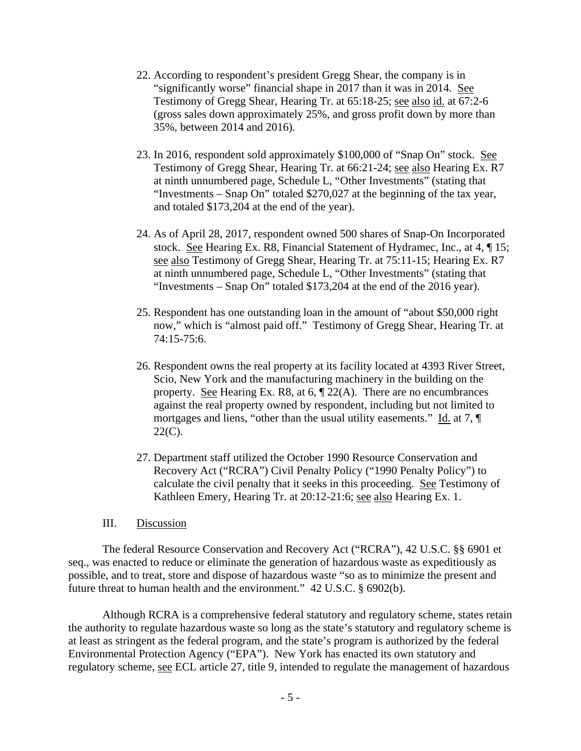- 22. According to respondent's president Gregg Shear, the company is in "significantly worse" financial shape in 2017 than it was in 2014. See Testimony of Gregg Shear, Hearing Tr. at 65:18-25; see also id. at 67:2-6 (gross sales down approximately 25%, and gross profit down by more than 35%, between 2014 and 2016).
- 23. In 2016, respondent sold approximately \$100,000 of "Snap On" stock. See Testimony of Gregg Shear, Hearing Tr. at 66:21-24; see also Hearing Ex. R7 at ninth unnumbered page, Schedule L, "Other Investments" (stating that "Investments – Snap On" totaled \$270,027 at the beginning of the tax year, and totaled \$173,204 at the end of the year).
- 24. As of April 28, 2017, respondent owned 500 shares of Snap-On Incorporated stock. See Hearing Ex. R8, Financial Statement of Hydramec, Inc., at 4, ¶ 15; see also Testimony of Gregg Shear, Hearing Tr. at 75:11-15; Hearing Ex. R7 at ninth unnumbered page, Schedule L, "Other Investments" (stating that "Investments – Snap On" totaled \$173,204 at the end of the 2016 year).
- 25. Respondent has one outstanding loan in the amount of "about \$50,000 right now," which is "almost paid off." Testimony of Gregg Shear, Hearing Tr. at 74:15-75:6.
- 26. Respondent owns the real property at its facility located at 4393 River Street, Scio, New York and the manufacturing machinery in the building on the property. See Hearing Ex. R8, at  $6, \P 22(A)$ . There are no encumbrances against the real property owned by respondent, including but not limited to mortgages and liens, "other than the usual utility easements." Id. at 7,  $\P$ 22(C).
- 27. Department staff utilized the October 1990 Resource Conservation and Recovery Act ("RCRA") Civil Penalty Policy ("1990 Penalty Policy") to calculate the civil penalty that it seeks in this proceeding. See Testimony of Kathleen Emery, Hearing Tr. at 20:12-21:6; see also Hearing Ex. 1.

#### III. Discussion

The federal Resource Conservation and Recovery Act ("RCRA"), 42 U.S.C. §§ 6901 et seq., was enacted to reduce or eliminate the generation of hazardous waste as expeditiously as possible, and to treat, store and dispose of hazardous waste "so as to minimize the present and future threat to human health and the environment." 42 U.S.C. § 6902(b).

Although RCRA is a comprehensive federal statutory and regulatory scheme, states retain the authority to regulate hazardous waste so long as the state's statutory and regulatory scheme is at least as stringent as the federal program, and the state's program is authorized by the federal Environmental Protection Agency ("EPA"). New York has enacted its own statutory and regulatory scheme, see ECL article 27, title 9, intended to regulate the management of hazardous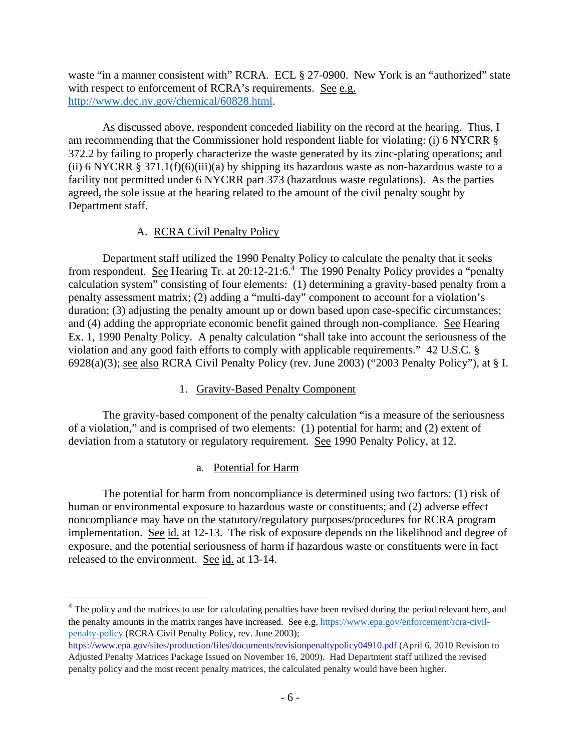waste "in a manner consistent with" RCRA. ECL § 27-0900. New York is an "authorized" state with respect to enforcement of RCRA's requirements. See e.g. http://www.dec.ny.gov/chemical/60828.html.

As discussed above, respondent conceded liability on the record at the hearing. Thus, I am recommending that the Commissioner hold respondent liable for violating: (i) 6 NYCRR § 372.2 by failing to properly characterize the waste generated by its zinc-plating operations; and (ii) 6 NYCRR § 371.1(f)(6)(iii)(a) by shipping its hazardous waste as non-hazardous waste to a facility not permitted under 6 NYCRR part 373 (hazardous waste regulations). As the parties agreed, the sole issue at the hearing related to the amount of the civil penalty sought by Department staff.

## A. RCRA Civil Penalty Policy

Department staff utilized the 1990 Penalty Policy to calculate the penalty that it seeks from respondent. See Hearing Tr. at 20:12-21:6.<sup>4</sup> The 1990 Penalty Policy provides a "penalty calculation system" consisting of four elements: (1) determining a gravity-based penalty from a penalty assessment matrix; (2) adding a "multi-day" component to account for a violation's duration; (3) adjusting the penalty amount up or down based upon case-specific circumstances; and (4) adding the appropriate economic benefit gained through non-compliance. See Hearing Ex. 1, 1990 Penalty Policy. A penalty calculation "shall take into account the seriousness of the violation and any good faith efforts to comply with applicable requirements." 42 U.S.C. § 6928(a)(3); see also RCRA Civil Penalty Policy (rev. June 2003) ("2003 Penalty Policy"), at § I.

# 1. Gravity-Based Penalty Component

The gravity-based component of the penalty calculation "is a measure of the seriousness of a violation," and is comprised of two elements: (1) potential for harm; and (2) extent of deviation from a statutory or regulatory requirement. See 1990 Penalty Policy, at 12.

# a. Potential for Harm

 $\overline{a}$ 

The potential for harm from noncompliance is determined using two factors: (1) risk of human or environmental exposure to hazardous waste or constituents; and (2) adverse effect noncompliance may have on the statutory/regulatory purposes/procedures for RCRA program implementation. See id. at 12-13. The risk of exposure depends on the likelihood and degree of exposure, and the potential seriousness of harm if hazardous waste or constituents were in fact released to the environment. See id. at 13-14.

<sup>&</sup>lt;sup>4</sup> The policy and the matrices to use for calculating penalties have been revised during the period relevant here, and the penalty amounts in the matrix ranges have increased. See e.g. https://www.epa.gov/enforcement/rcra-civilpenalty-policy (RCRA Civil Penalty Policy, rev. June 2003);

https://www.epa.gov/sites/production/files/documents/revisionpenaltypolicy04910.pdf (April 6, 2010 Revision to Adjusted Penalty Matrices Package Issued on November 16, 2009). Had Department staff utilized the revised penalty policy and the most recent penalty matrices, the calculated penalty would have been higher.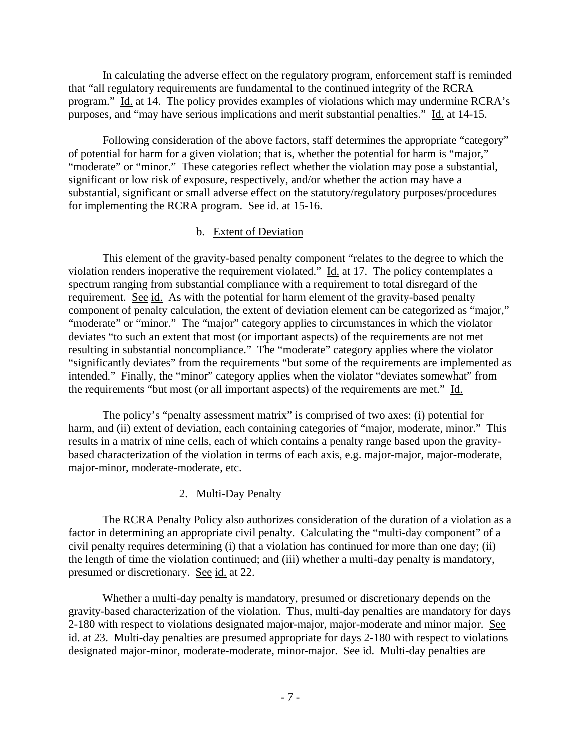In calculating the adverse effect on the regulatory program, enforcement staff is reminded that "all regulatory requirements are fundamental to the continued integrity of the RCRA program." Id. at 14. The policy provides examples of violations which may undermine RCRA's purposes, and "may have serious implications and merit substantial penalties." Id. at 14-15.

Following consideration of the above factors, staff determines the appropriate "category" of potential for harm for a given violation; that is, whether the potential for harm is "major," "moderate" or "minor." These categories reflect whether the violation may pose a substantial, significant or low risk of exposure, respectively, and/or whether the action may have a substantial, significant or small adverse effect on the statutory/regulatory purposes/procedures for implementing the RCRA program. See id. at 15-16.

## b. Extent of Deviation

This element of the gravity-based penalty component "relates to the degree to which the violation renders inoperative the requirement violated." Id. at 17. The policy contemplates a spectrum ranging from substantial compliance with a requirement to total disregard of the requirement. See id. As with the potential for harm element of the gravity-based penalty component of penalty calculation, the extent of deviation element can be categorized as "major," "moderate" or "minor." The "major" category applies to circumstances in which the violator deviates "to such an extent that most (or important aspects) of the requirements are not met resulting in substantial noncompliance." The "moderate" category applies where the violator "significantly deviates" from the requirements "but some of the requirements are implemented as intended." Finally, the "minor" category applies when the violator "deviates somewhat" from the requirements "but most (or all important aspects) of the requirements are met." Id.

The policy's "penalty assessment matrix" is comprised of two axes: (i) potential for harm, and (ii) extent of deviation, each containing categories of "major, moderate, minor." This results in a matrix of nine cells, each of which contains a penalty range based upon the gravitybased characterization of the violation in terms of each axis, e.g. major-major, major-moderate, major-minor, moderate-moderate, etc.

# 2. Multi-Day Penalty

The RCRA Penalty Policy also authorizes consideration of the duration of a violation as a factor in determining an appropriate civil penalty. Calculating the "multi-day component" of a civil penalty requires determining (i) that a violation has continued for more than one day; (ii) the length of time the violation continued; and (iii) whether a multi-day penalty is mandatory, presumed or discretionary. See id. at 22.

Whether a multi-day penalty is mandatory, presumed or discretionary depends on the gravity-based characterization of the violation. Thus, multi-day penalties are mandatory for days 2-180 with respect to violations designated major-major, major-moderate and minor major. See id. at 23. Multi-day penalties are presumed appropriate for days 2-180 with respect to violations designated major-minor, moderate-moderate, minor-major. See id. Multi-day penalties are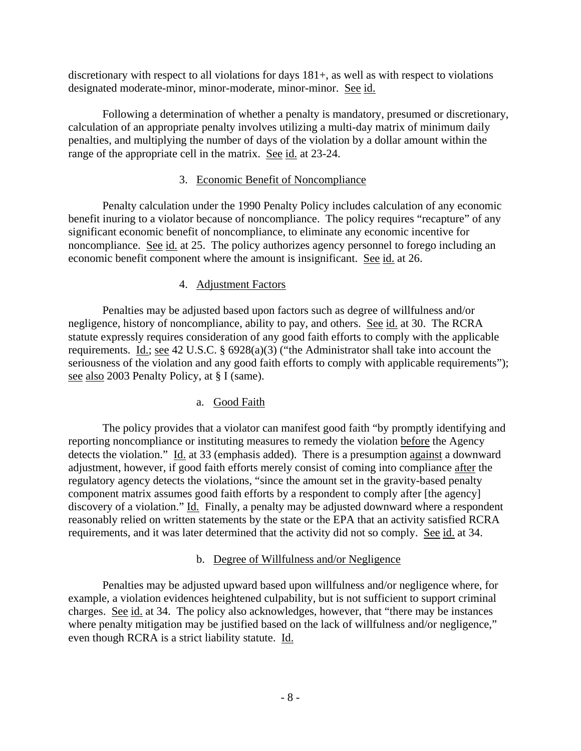discretionary with respect to all violations for days 181+, as well as with respect to violations designated moderate-minor, minor-moderate, minor-minor. See id.

Following a determination of whether a penalty is mandatory, presumed or discretionary, calculation of an appropriate penalty involves utilizing a multi-day matrix of minimum daily penalties, and multiplying the number of days of the violation by a dollar amount within the range of the appropriate cell in the matrix. See id. at 23-24.

# 3. Economic Benefit of Noncompliance

Penalty calculation under the 1990 Penalty Policy includes calculation of any economic benefit inuring to a violator because of noncompliance. The policy requires "recapture" of any significant economic benefit of noncompliance, to eliminate any economic incentive for noncompliance. See id. at 25. The policy authorizes agency personnel to forego including an economic benefit component where the amount is insignificant. See id. at 26.

## 4. Adjustment Factors

Penalties may be adjusted based upon factors such as degree of willfulness and/or negligence, history of noncompliance, ability to pay, and others. See id. at 30. The RCRA statute expressly requires consideration of any good faith efforts to comply with the applicable requirements. Id.; see 42 U.S.C. § 6928(a)(3) ("the Administrator shall take into account the seriousness of the violation and any good faith efforts to comply with applicable requirements"); see also 2003 Penalty Policy, at § I (same).

# a. Good Faith

The policy provides that a violator can manifest good faith "by promptly identifying and reporting noncompliance or instituting measures to remedy the violation before the Agency detects the violation." Id. at 33 (emphasis added). There is a presumption against a downward adjustment, however, if good faith efforts merely consist of coming into compliance after the regulatory agency detects the violations, "since the amount set in the gravity-based penalty component matrix assumes good faith efforts by a respondent to comply after [the agency] discovery of a violation." Id. Finally, a penalty may be adjusted downward where a respondent reasonably relied on written statements by the state or the EPA that an activity satisfied RCRA requirements, and it was later determined that the activity did not so comply. See id. at 34.

#### b. Degree of Willfulness and/or Negligence

Penalties may be adjusted upward based upon willfulness and/or negligence where, for example, a violation evidences heightened culpability, but is not sufficient to support criminal charges. See id. at 34. The policy also acknowledges, however, that "there may be instances where penalty mitigation may be justified based on the lack of willfulness and/or negligence," even though RCRA is a strict liability statute. Id.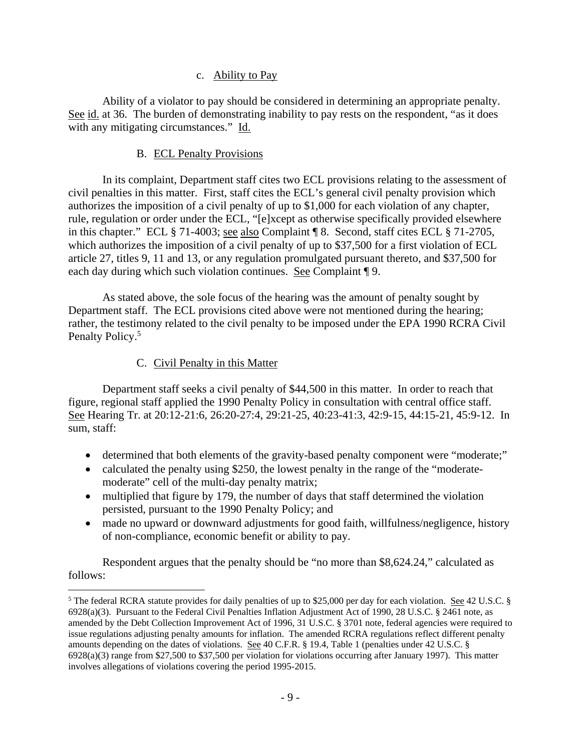## c. Ability to Pay

Ability of a violator to pay should be considered in determining an appropriate penalty. See id. at 36. The burden of demonstrating inability to pay rests on the respondent, "as it does with any mitigating circumstances." Id.

## B. ECL Penalty Provisions

In its complaint, Department staff cites two ECL provisions relating to the assessment of civil penalties in this matter. First, staff cites the ECL's general civil penalty provision which authorizes the imposition of a civil penalty of up to \$1,000 for each violation of any chapter, rule, regulation or order under the ECL, "[e]xcept as otherwise specifically provided elsewhere in this chapter." ECL § 71-4003; see also Complaint ¶ 8. Second, staff cites ECL § 71-2705, which authorizes the imposition of a civil penalty of up to \$37,500 for a first violation of ECL article 27, titles 9, 11 and 13, or any regulation promulgated pursuant thereto, and \$37,500 for each day during which such violation continues. See Complaint ¶ 9.

As stated above, the sole focus of the hearing was the amount of penalty sought by Department staff. The ECL provisions cited above were not mentioned during the hearing; rather, the testimony related to the civil penalty to be imposed under the EPA 1990 RCRA Civil Penalty Policy.<sup>5</sup>

# C. Civil Penalty in this Matter

 $\overline{a}$ 

Department staff seeks a civil penalty of \$44,500 in this matter. In order to reach that figure, regional staff applied the 1990 Penalty Policy in consultation with central office staff. See Hearing Tr. at 20:12-21:6, 26:20-27:4, 29:21-25, 40:23-41:3, 42:9-15, 44:15-21, 45:9-12. In sum, staff:

- determined that both elements of the gravity-based penalty component were "moderate;"
- calculated the penalty using \$250, the lowest penalty in the range of the "moderatemoderate" cell of the multi-day penalty matrix;
- multiplied that figure by 179, the number of days that staff determined the violation persisted, pursuant to the 1990 Penalty Policy; and
- made no upward or downward adjustments for good faith, willfulness/negligence, history of non-compliance, economic benefit or ability to pay.

Respondent argues that the penalty should be "no more than \$8,624.24," calculated as follows:

<sup>&</sup>lt;sup>5</sup> The federal RCRA statute provides for daily penalties of up to \$25,000 per day for each violation. <u>See</u> 42 U.S.C. § 6928(a)(3). Pursuant to the Federal Civil Penalties Inflation Adjustment Act of 1990, 28 U.S.C. § 2461 note, as amended by the Debt Collection Improvement Act of 1996, 31 U.S.C. § 3701 note, federal agencies were required to issue regulations adjusting penalty amounts for inflation. The amended RCRA regulations reflect different penalty amounts depending on the dates of violations. See 40 C.F.R. § 19.4, Table 1 (penalties under 42 U.S.C. § 6928(a)(3) range from \$27,500 to \$37,500 per violation for violations occurring after January 1997). This matter involves allegations of violations covering the period 1995-2015.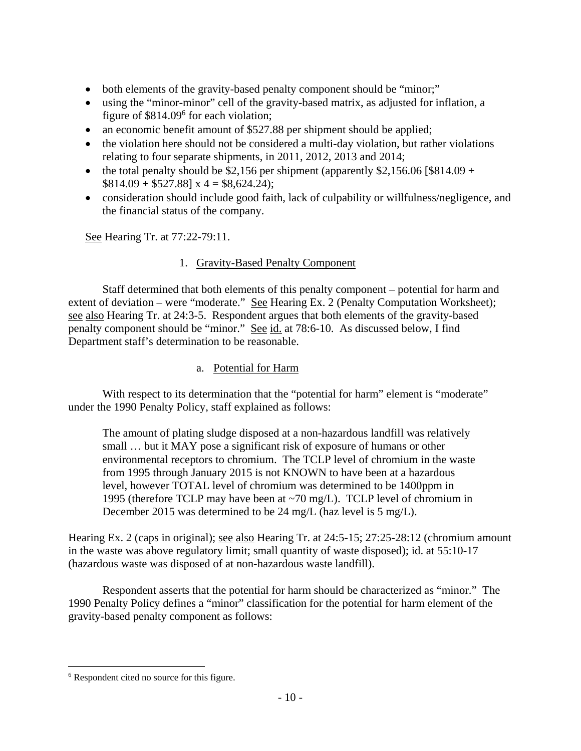- both elements of the gravity-based penalty component should be "minor;"
- using the "minor-minor" cell of the gravity-based matrix, as adjusted for inflation, a figure of \$814.09<sup>6</sup> for each violation;
- an economic benefit amount of \$527.88 per shipment should be applied;
- the violation here should not be considered a multi-day violation, but rather violations relating to four separate shipments, in 2011, 2012, 2013 and 2014;
- the total penalty should be \$2,156 per shipment (apparently \$2,156.06 [\$814.09 +  $$814.09 + $527.88] \times 4 = $8,624.24);$
- consideration should include good faith, lack of culpability or willfulness/negligence, and the financial status of the company.

See Hearing Tr. at 77:22-79:11.

# 1. Gravity-Based Penalty Component

Staff determined that both elements of this penalty component – potential for harm and extent of deviation – were "moderate." See Hearing Ex. 2 (Penalty Computation Worksheet); see also Hearing Tr. at 24:3-5. Respondent argues that both elements of the gravity-based penalty component should be "minor." See id. at 78:6-10. As discussed below, I find Department staff's determination to be reasonable.

# a. Potential for Harm

With respect to its determination that the "potential for harm" element is "moderate" under the 1990 Penalty Policy, staff explained as follows:

The amount of plating sludge disposed at a non-hazardous landfill was relatively small … but it MAY pose a significant risk of exposure of humans or other environmental receptors to chromium. The TCLP level of chromium in the waste from 1995 through January 2015 is not KNOWN to have been at a hazardous level, however TOTAL level of chromium was determined to be 1400ppm in 1995 (therefore TCLP may have been at ~70 mg/L). TCLP level of chromium in December 2015 was determined to be 24 mg/L (haz level is 5 mg/L).

Hearing Ex. 2 (caps in original); <u>see also</u> Hearing Tr. at 24:5-15; 27:25-28:12 (chromium amount in the waste was above regulatory limit; small quantity of waste disposed); id. at 55:10-17 (hazardous waste was disposed of at non-hazardous waste landfill).

Respondent asserts that the potential for harm should be characterized as "minor." The 1990 Penalty Policy defines a "minor" classification for the potential for harm element of the gravity-based penalty component as follows:

<sup>6</sup> Respondent cited no source for this figure.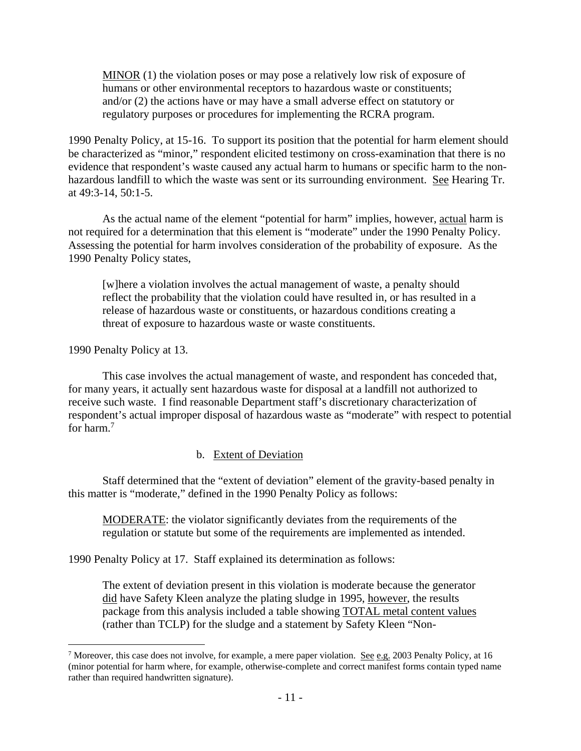MINOR (1) the violation poses or may pose a relatively low risk of exposure of humans or other environmental receptors to hazardous waste or constituents; and/or (2) the actions have or may have a small adverse effect on statutory or regulatory purposes or procedures for implementing the RCRA program.

1990 Penalty Policy, at 15-16. To support its position that the potential for harm element should be characterized as "minor," respondent elicited testimony on cross-examination that there is no evidence that respondent's waste caused any actual harm to humans or specific harm to the nonhazardous landfill to which the waste was sent or its surrounding environment. See Hearing Tr. at 49:3-14, 50:1-5.

 As the actual name of the element "potential for harm" implies, however, actual harm is not required for a determination that this element is "moderate" under the 1990 Penalty Policy. Assessing the potential for harm involves consideration of the probability of exposure. As the 1990 Penalty Policy states,

[w]here a violation involves the actual management of waste, a penalty should reflect the probability that the violation could have resulted in, or has resulted in a release of hazardous waste or constituents, or hazardous conditions creating a threat of exposure to hazardous waste or waste constituents.

1990 Penalty Policy at 13.

 $\overline{a}$ 

This case involves the actual management of waste, and respondent has conceded that, for many years, it actually sent hazardous waste for disposal at a landfill not authorized to receive such waste. I find reasonable Department staff's discretionary characterization of respondent's actual improper disposal of hazardous waste as "moderate" with respect to potential for harm.<sup>7</sup>

#### b. Extent of Deviation

 Staff determined that the "extent of deviation" element of the gravity-based penalty in this matter is "moderate," defined in the 1990 Penalty Policy as follows:

MODERATE: the violator significantly deviates from the requirements of the regulation or statute but some of the requirements are implemented as intended.

1990 Penalty Policy at 17. Staff explained its determination as follows:

The extent of deviation present in this violation is moderate because the generator did have Safety Kleen analyze the plating sludge in 1995, however, the results package from this analysis included a table showing TOTAL metal content values (rather than TCLP) for the sludge and a statement by Safety Kleen "Non-

<sup>&</sup>lt;sup>7</sup> Moreover, this case does not involve, for example, a mere paper violation. <u>See e.g.</u> 2003 Penalty Policy, at 16 (minor potential for harm where, for example, otherwise-complete and correct manifest forms contain typed name rather than required handwritten signature).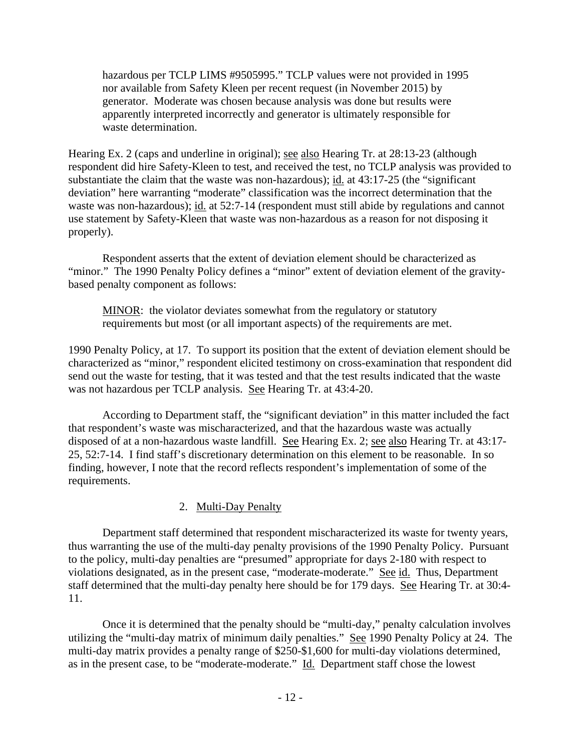hazardous per TCLP LIMS #9505995." TCLP values were not provided in 1995 nor available from Safety Kleen per recent request (in November 2015) by generator. Moderate was chosen because analysis was done but results were apparently interpreted incorrectly and generator is ultimately responsible for waste determination.

Hearing Ex. 2 (caps and underline in original); see also Hearing Tr. at 28:13-23 (although respondent did hire Safety-Kleen to test, and received the test, no TCLP analysis was provided to substantiate the claim that the waste was non-hazardous); id. at 43:17-25 (the "significant deviation" here warranting "moderate" classification was the incorrect determination that the waste was non-hazardous); id. at 52:7-14 (respondent must still abide by regulations and cannot use statement by Safety-Kleen that waste was non-hazardous as a reason for not disposing it properly).

 Respondent asserts that the extent of deviation element should be characterized as "minor." The 1990 Penalty Policy defines a "minor" extent of deviation element of the gravitybased penalty component as follows:

MINOR: the violator deviates somewhat from the regulatory or statutory requirements but most (or all important aspects) of the requirements are met.

1990 Penalty Policy, at 17. To support its position that the extent of deviation element should be characterized as "minor," respondent elicited testimony on cross-examination that respondent did send out the waste for testing, that it was tested and that the test results indicated that the waste was not hazardous per TCLP analysis. See Hearing Tr. at 43:4-20.

According to Department staff, the "significant deviation" in this matter included the fact that respondent's waste was mischaracterized, and that the hazardous waste was actually disposed of at a non-hazardous waste landfill. See Hearing Ex. 2; see also Hearing Tr. at 43:17- 25, 52:7-14. I find staff's discretionary determination on this element to be reasonable. In so finding, however, I note that the record reflects respondent's implementation of some of the requirements.

# 2. Multi-Day Penalty

Department staff determined that respondent mischaracterized its waste for twenty years, thus warranting the use of the multi-day penalty provisions of the 1990 Penalty Policy. Pursuant to the policy, multi-day penalties are "presumed" appropriate for days 2-180 with respect to violations designated, as in the present case, "moderate-moderate." See id. Thus, Department staff determined that the multi-day penalty here should be for 179 days. See Hearing Tr. at 30:4- 11.

Once it is determined that the penalty should be "multi-day," penalty calculation involves utilizing the "multi-day matrix of minimum daily penalties." See 1990 Penalty Policy at 24. The multi-day matrix provides a penalty range of \$250-\$1,600 for multi-day violations determined, as in the present case, to be "moderate-moderate." Id. Department staff chose the lowest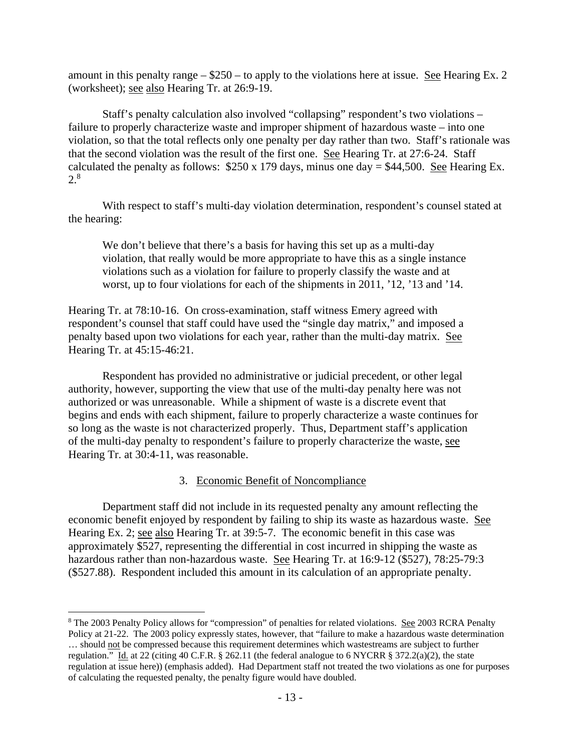amount in this penalty range  $-$  \$250 – to apply to the violations here at issue. See Hearing Ex. 2 (worksheet); see also Hearing Tr. at 26:9-19.

Staff's penalty calculation also involved "collapsing" respondent's two violations – failure to properly characterize waste and improper shipment of hazardous waste – into one violation, so that the total reflects only one penalty per day rather than two. Staff's rationale was that the second violation was the result of the first one. See Hearing Tr. at 27:6-24. Staff calculated the penalty as follows:  $$250 \times 179$  days, minus one day =  $$44,500$ . See Hearing Ex. 2.8

With respect to staff's multi-day violation determination, respondent's counsel stated at the hearing:

We don't believe that there's a basis for having this set up as a multi-day violation, that really would be more appropriate to have this as a single instance violations such as a violation for failure to properly classify the waste and at worst, up to four violations for each of the shipments in 2011, '12, '13 and '14.

Hearing Tr. at 78:10-16. On cross-examination, staff witness Emery agreed with respondent's counsel that staff could have used the "single day matrix," and imposed a penalty based upon two violations for each year, rather than the multi-day matrix. See Hearing Tr. at 45:15-46:21.

Respondent has provided no administrative or judicial precedent, or other legal authority, however, supporting the view that use of the multi-day penalty here was not authorized or was unreasonable. While a shipment of waste is a discrete event that begins and ends with each shipment, failure to properly characterize a waste continues for so long as the waste is not characterized properly. Thus, Department staff's application of the multi-day penalty to respondent's failure to properly characterize the waste, see Hearing Tr. at 30:4-11, was reasonable.

#### 3. Economic Benefit of Noncompliance

Department staff did not include in its requested penalty any amount reflecting the economic benefit enjoyed by respondent by failing to ship its waste as hazardous waste. See Hearing Ex. 2; see also Hearing Tr. at 39:5-7. The economic benefit in this case was approximately \$527, representing the differential in cost incurred in shipping the waste as hazardous rather than non-hazardous waste. See Hearing Tr. at 16:9-12 (\$527), 78:25-79:3 (\$527.88). Respondent included this amount in its calculation of an appropriate penalty.

<sup>&</sup>lt;sup>8</sup> The 2003 Penalty Policy allows for "compression" of penalties for related violations. See 2003 RCRA Penalty Policy at 21-22. The 2003 policy expressly states, however, that "failure to make a hazardous waste determination … should not be compressed because this requirement determines which wastestreams are subject to further regulation." Id. at 22 (citing 40 C.F.R. § 262.11 (the federal analogue to 6 NYCRR § 372.2(a)(2), the state regulation at issue here)) (emphasis added). Had Department staff not treated the two violations as one for purposes of calculating the requested penalty, the penalty figure would have doubled.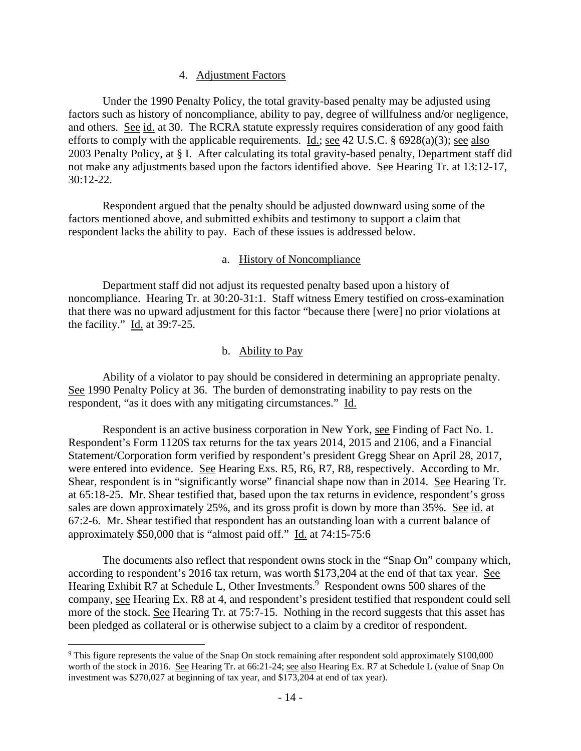#### 4. Adjustment Factors

Under the 1990 Penalty Policy, the total gravity-based penalty may be adjusted using factors such as history of noncompliance, ability to pay, degree of willfulness and/or negligence, and others. See id. at 30. The RCRA statute expressly requires consideration of any good faith efforts to comply with the applicable requirements. Id.; see 42 U.S.C.  $\S$  6928(a)(3); see also 2003 Penalty Policy, at § I. After calculating its total gravity-based penalty, Department staff did not make any adjustments based upon the factors identified above. See Hearing Tr. at 13:12-17, 30:12-22.

Respondent argued that the penalty should be adjusted downward using some of the factors mentioned above, and submitted exhibits and testimony to support a claim that respondent lacks the ability to pay. Each of these issues is addressed below.

#### a. History of Noncompliance

Department staff did not adjust its requested penalty based upon a history of noncompliance. Hearing Tr. at 30:20-31:1. Staff witness Emery testified on cross-examination that there was no upward adjustment for this factor "because there [were] no prior violations at the facility." Id. at 39:7-25.

#### b. Ability to Pay

Ability of a violator to pay should be considered in determining an appropriate penalty. See 1990 Penalty Policy at 36. The burden of demonstrating inability to pay rests on the respondent, "as it does with any mitigating circumstances." Id.

Respondent is an active business corporation in New York, see Finding of Fact No. 1. Respondent's Form 1120S tax returns for the tax years 2014, 2015 and 2106, and a Financial Statement/Corporation form verified by respondent's president Gregg Shear on April 28, 2017, were entered into evidence. See Hearing Exs. R5, R6, R7, R8, respectively. According to Mr. Shear, respondent is in "significantly worse" financial shape now than in 2014. See Hearing Tr. at 65:18-25. Mr. Shear testified that, based upon the tax returns in evidence, respondent's gross sales are down approximately 25%, and its gross profit is down by more than 35%. See id. at 67:2-6. Mr. Shear testified that respondent has an outstanding loan with a current balance of approximately \$50,000 that is "almost paid off." Id. at 74:15-75:6

The documents also reflect that respondent owns stock in the "Snap On" company which, according to respondent's 2016 tax return, was worth \$173,204 at the end of that tax year. See Hearing Exhibit R7 at Schedule L, Other Investments.<sup>9</sup> Respondent owns 500 shares of the company, see Hearing Ex. R8 at 4, and respondent's president testified that respondent could sell more of the stock. See Hearing Tr. at 75:7-15. Nothing in the record suggests that this asset has been pledged as collateral or is otherwise subject to a claim by a creditor of respondent.

<sup>&</sup>lt;sup>9</sup> This figure represents the value of the Snap On stock remaining after respondent sold approximately \$100,000 worth of the stock in 2016. See Hearing Tr. at 66:21-24; see also Hearing Ex. R7 at Schedule L (value of Snap On investment was \$270,027 at beginning of tax year, and \$173,204 at end of tax year).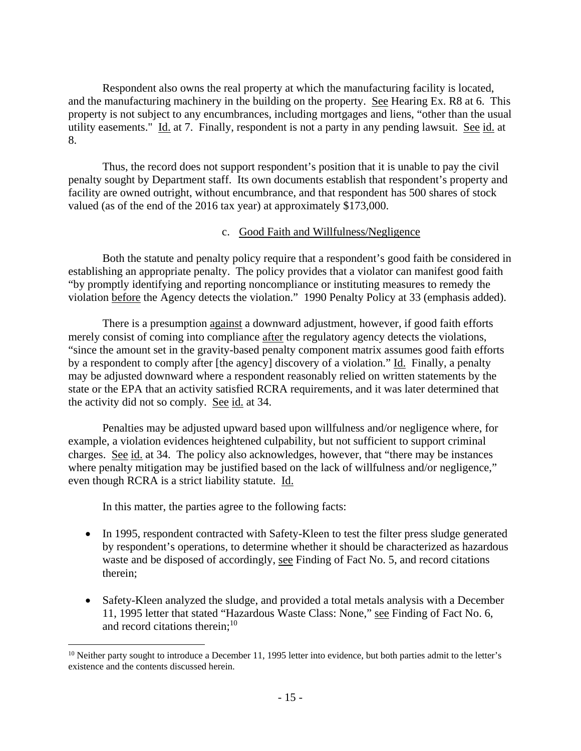Respondent also owns the real property at which the manufacturing facility is located, and the manufacturing machinery in the building on the property. See Hearing Ex. R8 at 6. This property is not subject to any encumbrances, including mortgages and liens, "other than the usual utility easements." Id. at 7. Finally, respondent is not a party in any pending lawsuit. See id. at 8.

Thus, the record does not support respondent's position that it is unable to pay the civil penalty sought by Department staff. Its own documents establish that respondent's property and facility are owned outright, without encumbrance, and that respondent has 500 shares of stock valued (as of the end of the 2016 tax year) at approximately \$173,000.

## c. Good Faith and Willfulness/Negligence

Both the statute and penalty policy require that a respondent's good faith be considered in establishing an appropriate penalty. The policy provides that a violator can manifest good faith "by promptly identifying and reporting noncompliance or instituting measures to remedy the violation before the Agency detects the violation." 1990 Penalty Policy at 33 (emphasis added).

There is a presumption against a downward adjustment, however, if good faith efforts merely consist of coming into compliance after the regulatory agency detects the violations, "since the amount set in the gravity-based penalty component matrix assumes good faith efforts by a respondent to comply after [the agency] discovery of a violation." Id. Finally, a penalty may be adjusted downward where a respondent reasonably relied on written statements by the state or the EPA that an activity satisfied RCRA requirements, and it was later determined that the activity did not so comply. See id. at 34.

Penalties may be adjusted upward based upon willfulness and/or negligence where, for example, a violation evidences heightened culpability, but not sufficient to support criminal charges. See id. at 34. The policy also acknowledges, however, that "there may be instances where penalty mitigation may be justified based on the lack of willfulness and/or negligence," even though RCRA is a strict liability statute. Id.

In this matter, the parties agree to the following facts:

- In 1995, respondent contracted with Safety-Kleen to test the filter press sludge generated by respondent's operations, to determine whether it should be characterized as hazardous waste and be disposed of accordingly, see Finding of Fact No. 5, and record citations therein;
- Safety-Kleen analyzed the sludge, and provided a total metals analysis with a December 11, 1995 letter that stated "Hazardous Waste Class: None," see Finding of Fact No. 6, and record citations therein; $^{10}$

 $10$  Neither party sought to introduce a December 11, 1995 letter into evidence, but both parties admit to the letter's existence and the contents discussed herein.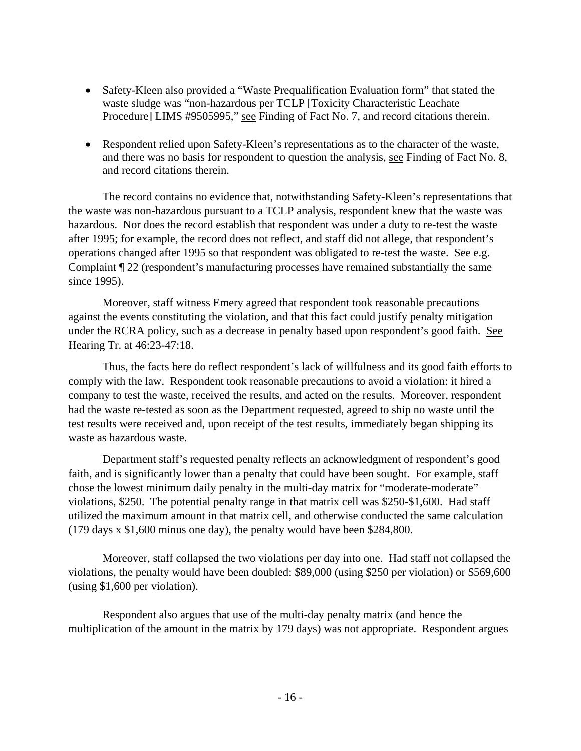- Safety-Kleen also provided a "Waste Prequalification Evaluation form" that stated the waste sludge was "non-hazardous per TCLP [Toxicity Characteristic Leachate Procedure] LIMS #9505995," see Finding of Fact No. 7, and record citations therein.
- Respondent relied upon Safety-Kleen's representations as to the character of the waste, and there was no basis for respondent to question the analysis, see Finding of Fact No. 8, and record citations therein.

The record contains no evidence that, notwithstanding Safety-Kleen's representations that the waste was non-hazardous pursuant to a TCLP analysis, respondent knew that the waste was hazardous. Nor does the record establish that respondent was under a duty to re-test the waste after 1995; for example, the record does not reflect, and staff did not allege, that respondent's operations changed after 1995 so that respondent was obligated to re-test the waste. See e.g. Complaint ¶ 22 (respondent's manufacturing processes have remained substantially the same since 1995).

Moreover, staff witness Emery agreed that respondent took reasonable precautions against the events constituting the violation, and that this fact could justify penalty mitigation under the RCRA policy, such as a decrease in penalty based upon respondent's good faith. See Hearing Tr. at 46:23-47:18.

Thus, the facts here do reflect respondent's lack of willfulness and its good faith efforts to comply with the law. Respondent took reasonable precautions to avoid a violation: it hired a company to test the waste, received the results, and acted on the results. Moreover, respondent had the waste re-tested as soon as the Department requested, agreed to ship no waste until the test results were received and, upon receipt of the test results, immediately began shipping its waste as hazardous waste.

 Department staff's requested penalty reflects an acknowledgment of respondent's good faith, and is significantly lower than a penalty that could have been sought. For example, staff chose the lowest minimum daily penalty in the multi-day matrix for "moderate-moderate" violations, \$250. The potential penalty range in that matrix cell was \$250-\$1,600. Had staff utilized the maximum amount in that matrix cell, and otherwise conducted the same calculation (179 days x \$1,600 minus one day), the penalty would have been \$284,800.

 Moreover, staff collapsed the two violations per day into one. Had staff not collapsed the violations, the penalty would have been doubled: \$89,000 (using \$250 per violation) or \$569,600 (using \$1,600 per violation).

 Respondent also argues that use of the multi-day penalty matrix (and hence the multiplication of the amount in the matrix by 179 days) was not appropriate. Respondent argues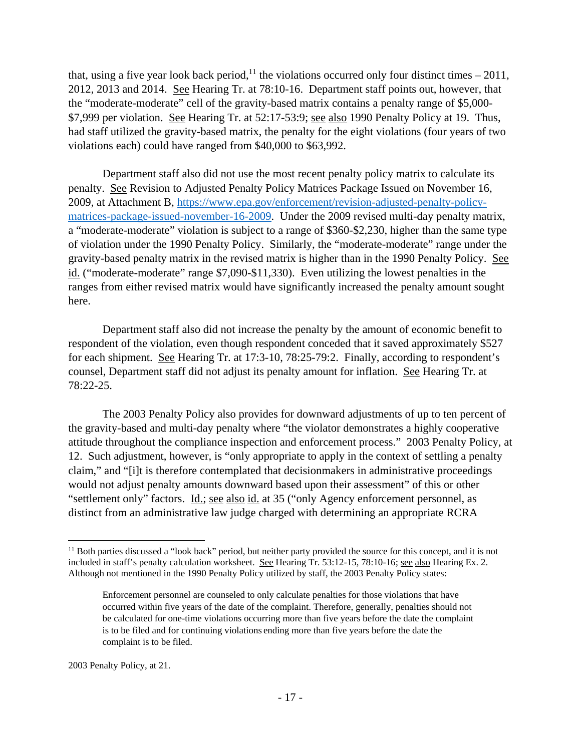that, using a five year look back period,<sup>11</sup> the violations occurred only four distinct times – 2011, 2012, 2013 and 2014. See Hearing Tr. at 78:10-16. Department staff points out, however, that the "moderate-moderate" cell of the gravity-based matrix contains a penalty range of \$5,000- \$7,999 per violation. See Hearing Tr. at 52:17-53:9; see also 1990 Penalty Policy at 19. Thus, had staff utilized the gravity-based matrix, the penalty for the eight violations (four years of two violations each) could have ranged from \$40,000 to \$63,992.

 Department staff also did not use the most recent penalty policy matrix to calculate its penalty. See Revision to Adjusted Penalty Policy Matrices Package Issued on November 16, 2009, at Attachment B, https://www.epa.gov/enforcement/revision-adjusted-penalty-policymatrices-package-issued-november-16-2009. Under the 2009 revised multi-day penalty matrix, a "moderate-moderate" violation is subject to a range of \$360-\$2,230, higher than the same type of violation under the 1990 Penalty Policy. Similarly, the "moderate-moderate" range under the gravity-based penalty matrix in the revised matrix is higher than in the 1990 Penalty Policy. See id. ("moderate-moderate" range \$7,090-\$11,330). Even utilizing the lowest penalties in the ranges from either revised matrix would have significantly increased the penalty amount sought here.

 Department staff also did not increase the penalty by the amount of economic benefit to respondent of the violation, even though respondent conceded that it saved approximately \$527 for each shipment. See Hearing Tr. at 17:3-10, 78:25-79:2. Finally, according to respondent's counsel, Department staff did not adjust its penalty amount for inflation. See Hearing Tr. at 78:22-25.

The 2003 Penalty Policy also provides for downward adjustments of up to ten percent of the gravity-based and multi-day penalty where "the violator demonstrates a highly cooperative attitude throughout the compliance inspection and enforcement process." 2003 Penalty Policy, at 12. Such adjustment, however, is "only appropriate to apply in the context of settling a penalty claim," and "[i]t is therefore contemplated that decisionmakers in administrative proceedings would not adjust penalty amounts downward based upon their assessment" of this or other "settlement only" factors. Id.; see also id. at 35 ("only Agency enforcement personnel, as distinct from an administrative law judge charged with determining an appropriate RCRA

2003 Penalty Policy, at 21.

<sup>&</sup>lt;sup>11</sup> Both parties discussed a "look back" period, but neither party provided the source for this concept, and it is not included in staff's penalty calculation worksheet. See Hearing Tr. 53:12-15, 78:10-16; see also Hearing Ex. 2. Although not mentioned in the 1990 Penalty Policy utilized by staff, the 2003 Penalty Policy states:

Enforcement personnel are counseled to only calculate penalties for those violations that have occurred within five years of the date of the complaint. Therefore, generally, penalties should not be calculated for one-time violations occurring more than five years before the date the complaint is to be filed and for continuing violations ending more than five years before the date the complaint is to be filed.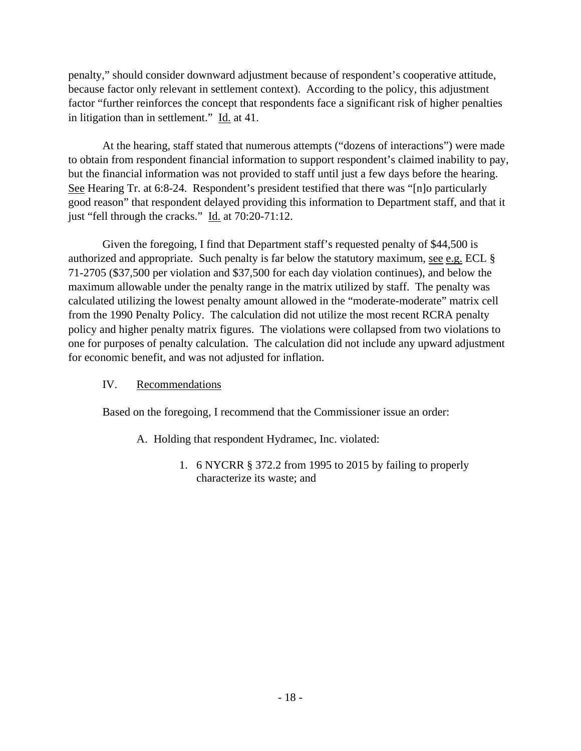penalty," should consider downward adjustment because of respondent's cooperative attitude, because factor only relevant in settlement context). According to the policy, this adjustment factor "further reinforces the concept that respondents face a significant risk of higher penalties in litigation than in settlement." Id. at 41.

At the hearing, staff stated that numerous attempts ("dozens of interactions") were made to obtain from respondent financial information to support respondent's claimed inability to pay, but the financial information was not provided to staff until just a few days before the hearing. See Hearing Tr. at 6:8-24. Respondent's president testified that there was "[n]o particularly good reason" that respondent delayed providing this information to Department staff, and that it just "fell through the cracks." Id. at 70:20-71:12.

Given the foregoing, I find that Department staff's requested penalty of \$44,500 is authorized and appropriate. Such penalty is far below the statutory maximum, see e.g. ECL  $\S$ 71-2705 (\$37,500 per violation and \$37,500 for each day violation continues), and below the maximum allowable under the penalty range in the matrix utilized by staff. The penalty was calculated utilizing the lowest penalty amount allowed in the "moderate-moderate" matrix cell from the 1990 Penalty Policy. The calculation did not utilize the most recent RCRA penalty policy and higher penalty matrix figures. The violations were collapsed from two violations to one for purposes of penalty calculation. The calculation did not include any upward adjustment for economic benefit, and was not adjusted for inflation.

#### IV. Recommendations

Based on the foregoing, I recommend that the Commissioner issue an order:

- A. Holding that respondent Hydramec, Inc. violated:
	- 1. 6 NYCRR § 372.2 from 1995 to 2015 by failing to properly characterize its waste; and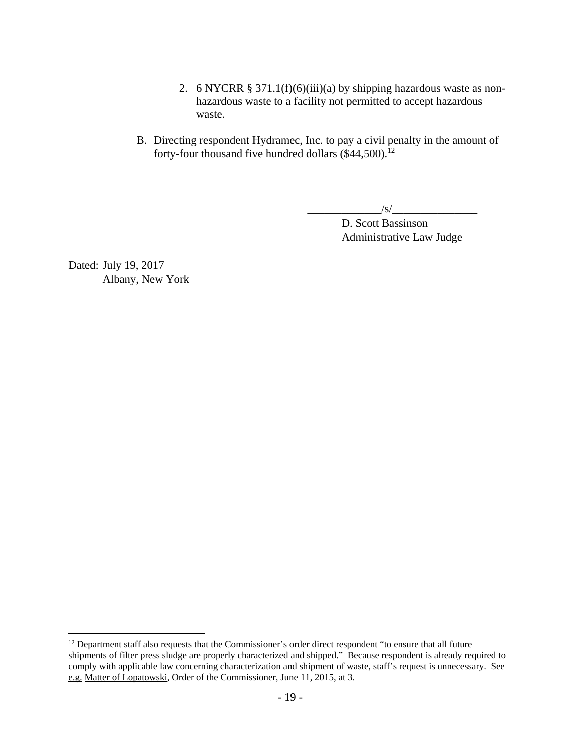- 2. 6 NYCRR § 371.1(f)(6)(iii)(a) by shipping hazardous waste as nonhazardous waste to a facility not permitted to accept hazardous waste.
- B. Directing respondent Hydramec, Inc. to pay a civil penalty in the amount of forty-four thousand five hundred dollars  $(\$44,500)$ .<sup>12</sup>

 $/\mathrm{s}/$ 

D. Scott Bassinson Administrative Law Judge

Dated: July 19, 2017 Albany, New York

 $12$  Department staff also requests that the Commissioner's order direct respondent "to ensure that all future shipments of filter press sludge are properly characterized and shipped." Because respondent is already required to comply with applicable law concerning characterization and shipment of waste, staff's request is unnecessary. See e.g. Matter of Lopatowski, Order of the Commissioner, June 11, 2015, at 3.